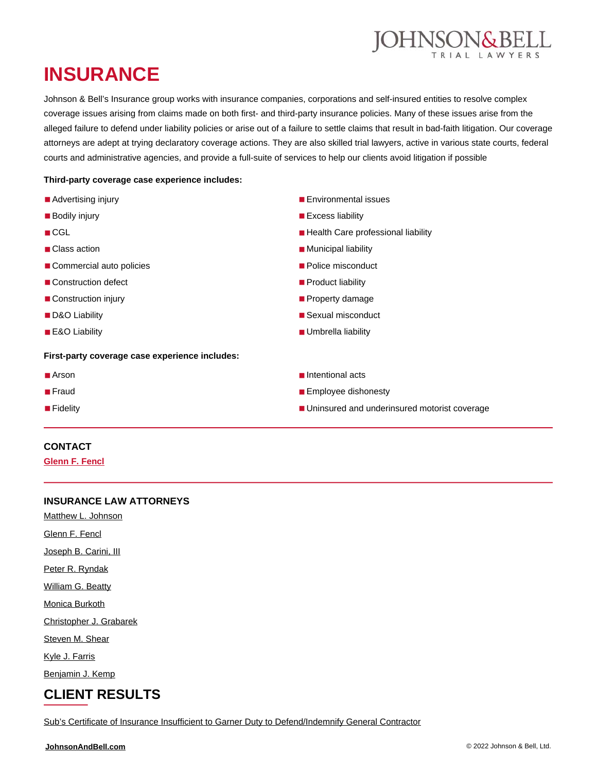

# **INSURANCE**

Johnson & Bell's Insurance group works with insurance companies, corporations and self-insured entities to resolve complex coverage issues arising from claims made on both first- and third-party insurance policies. Many of these issues arise from the alleged failure to defend under liability policies or arise out of a failure to settle claims that result in bad-faith litigation. Our coverage attorneys are adept at trying declaratory coverage actions. They are also skilled trial lawyers, active in various state courts, federal courts and administrative agencies, and provide a full-suite of services to help our clients avoid litigation if possible

#### **Third-party coverage case experience includes:**

- Advertising injury
- Bodily injury
- CGL
- Class action
- Commercial auto policies
- Construction defect
- Construction injury
- D&O Liability
- E&O Liability

#### **First-party coverage case experience includes:**

- Arson
- Fraud
- Fidelity

#### ■ Environmental issues

- Excess liability
- Health Care professional liability
- Municipal liability
- Police misconduct
- Product liability
- Property damage
- Sexual misconduct
- Umbrella liability
- Intentional acts
- Employee dishonesty
- Uninsured and underinsured motorist coverage

#### **CONTACT**

**[Glenn F. Fencl](https://johnsonandbell.com/attorneys/glenn-f-fencl/)**

### **INSURANCE LAW ATTORNEYS**

[Matthew L. Johnson](https://johnsonandbell.com/attorneys/matthew-l-johnson/)

[Glenn F. Fencl](https://johnsonandbell.com/attorneys/glenn-f-fencl/)

[Joseph B. Carini, III](https://johnsonandbell.com/attorneys/joseph-b-carini-iii/)

[Peter R. Ryndak](https://johnsonandbell.com/attorneys/peter-r-ryndak/)

[William G. Beatty](https://johnsonandbell.com/attorneys/william-g-beatty/)

[Monica Burkoth](https://johnsonandbell.com/attorneys/monica-burkoth/)

[Christopher J. Grabarek](https://johnsonandbell.com/attorneys/christopher-j-grabarek/)

[Steven M. Shear](https://johnsonandbell.com/attorneys/steven-m-shear/)

[Kyle J. Farris](https://johnsonandbell.com/attorneys/kyle-j-farris/)

[Benjamin J. Kemp](https://johnsonandbell.com/attorneys/benjamin-j-kemp/)

## **CLIENT RESULTS**

[Sub's Certificate of Insurance Insufficient to Garner Duty to Defend/Indemnify General Contractor](https://johnsonandbell.com/subs-certificate-of-insurance-insufficient-to-garner-duty-to-defend-indemnify-gc/)